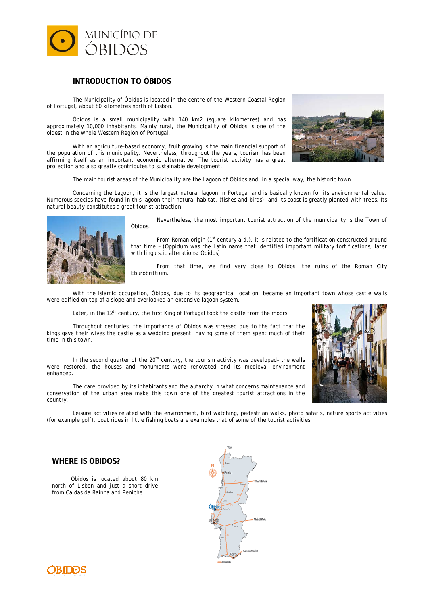

## **INTRODUCTION TO ÓBIDOS**

The Municipality of Óbidos is located in the centre of the Western Coastal Region of Portugal, about 80 kilometres north of Lisbon.

Óbidos is a small municipality with 140 km2 (square kilometres) and has approximately 10,000 inhabitants. Mainly rural, the Municipality of Óbidos is one of the oldest in the whole Western Region of Portugal.

With an agriculture-based economy, fruit growing is the main financial support of the population of this municipality. Nevertheless, throughout the years, tourism has been affirming itself as an important economic alternative. The tourist activity has a great projection and also greatly contributes to sustainable development.

The main tourist areas of the Municipality are the Lagoon of Óbidos and, in a special way, the historic town.

Concerning the Lagoon, it is the largest natural lagoon in Portugal and is basically known for its environmental value. Numerous species have found in this lagoon their natural habitat, (fishes and birds), and its coast is greatly planted with trees. Its natural beauty constitutes a great tourist attraction.



Nevertheless, the most important tourist attraction of the municipality is the Town of Óbidos.

From Roman origin ( $1<sup>st</sup>$  century a.d.), it is related to the fortification constructed around that time – (Oppidum was the Latin name that identified important military fortifications, later with linguistic alterations: Óbidos)

From that time, we find very close to Óbidos, the ruins of the Roman City Eburobrittium.

With the Islamic occupation, Óbidos, due to its geographical location, became an important town whose castle walls were edified on top of a slope and overlooked an extensive lagoon system.

Later, in the  $12<sup>th</sup>$  century, the first King of Portugal took the castle from the moors.

Throughout centuries, the importance of Óbidos was stressed due to the fact that the kings gave their wives the castle as a wedding present, having some of them spent much of their time in this town.

In the second quarter of the 20<sup>th</sup> century, the tourism activity was developed- the walls were restored, the houses and monuments were renovated and its medieval environment enhanced.

The care provided by its inhabitants and the autarchy in what concerns maintenance and conservation of the urban area make this town one of the greatest tourist attractions in the country.



Leisure activities related with the environment, bird watching, pedestrian walks, photo safaris, nature sports activities (for example golf), boat rides in little fishing boats are examples that of some of the tourist activities.

# **WHERE IS ÓBIDOS?**

 Óbidos is located about 80 km north of Lisbon and just a short drive from Caldas da Rainha and Peniche.